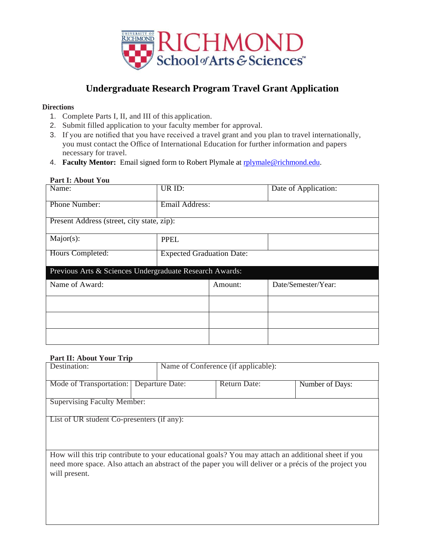

## **Undergraduate Research Program Travel Grant Application**

## **Directions**

- 1. Complete Parts I, II, and III of this application.
- 2. Submit filled application to your faculty member for approval.
- 3. If you are notified that you have received a travel grant and you plan to travel internationally, you must contact the Office of International Education for further information and papers necessary for travel.
- 4. **Faculty Mentor:** Email signed form to Robert Plymale at rplymale@richmond.edu.

## **Part I: About You**

| Name:                                                   | UR ID:                           |         | Date of Application: |  |
|---------------------------------------------------------|----------------------------------|---------|----------------------|--|
| Phone Number:                                           | Email Address:                   |         |                      |  |
| Present Address (street, city state, zip):              |                                  |         |                      |  |
| $Major(s)$ :                                            | <b>PPEL</b>                      |         |                      |  |
| Hours Completed:                                        | <b>Expected Graduation Date:</b> |         |                      |  |
| Previous Arts & Sciences Undergraduate Research Awards: |                                  |         |                      |  |
| Name of Award:                                          |                                  | Amount: | Date/Semester/Year:  |  |
|                                                         |                                  |         |                      |  |
|                                                         |                                  |         |                      |  |
|                                                         |                                  |         |                      |  |

## **Part II: About Your Trip**

| Destination:                                                                                                                                                                                                                 |                 | Name of Conference (if applicable): |                 |  |  |
|------------------------------------------------------------------------------------------------------------------------------------------------------------------------------------------------------------------------------|-----------------|-------------------------------------|-----------------|--|--|
| Mode of Transportation:                                                                                                                                                                                                      | Departure Date: | Return Date:                        | Number of Days: |  |  |
| <b>Supervising Faculty Member:</b>                                                                                                                                                                                           |                 |                                     |                 |  |  |
| List of UR student Co-presenters (if any):                                                                                                                                                                                   |                 |                                     |                 |  |  |
| How will this trip contribute to your educational goals? You may attach an additional sheet if you<br>need more space. Also attach an abstract of the paper you will deliver or a précis of the project you<br>will present. |                 |                                     |                 |  |  |